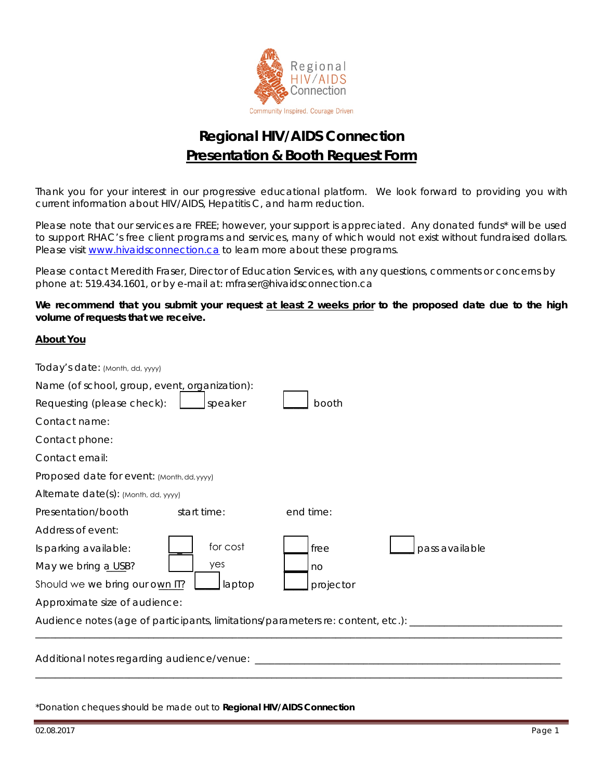

## **Regional HIV/AIDS Connection Presentation & Booth Request Form**

Thank you for your interest in our progressive educational platform. We look forward to providing you with current information about HIV/AIDS, Hepatitis C, and harm reduction.

Please note that our services are FREE; however, your support is appreciated. Any donated funds\* will be used to support RHAC's free client programs and services, many of which would not exist without fundraised dollars. Please visit [www.hivaidsconnection.ca](http://www.hivaidsconnection.ca/) to learn more about these programs.

Please contact Meredith Fraser, Director of Education Services, with any questions, comments or concerns by phone at: 519.434.1601, or by e-mail at: mfraser@hivaidsconnection.ca

#### **We recommend that you submit your request at least 2 weeks prior to the proposed date due to the high volume of requests that we receive.**

#### **About You**

| Proposed date for event: (Month, dd, yyyy)                                         |  |  |  |  |
|------------------------------------------------------------------------------------|--|--|--|--|
|                                                                                    |  |  |  |  |
|                                                                                    |  |  |  |  |
|                                                                                    |  |  |  |  |
|                                                                                    |  |  |  |  |
|                                                                                    |  |  |  |  |
|                                                                                    |  |  |  |  |
| Approximate size of audience:                                                      |  |  |  |  |
| Audience notes (age of participants, limitations/parameters re: content, etc.): __ |  |  |  |  |
|                                                                                    |  |  |  |  |
| Additional notes regarding audience/venue:                                         |  |  |  |  |
|                                                                                    |  |  |  |  |

\*Donation cheques should be made out to **Regional HIV/AIDS Connection**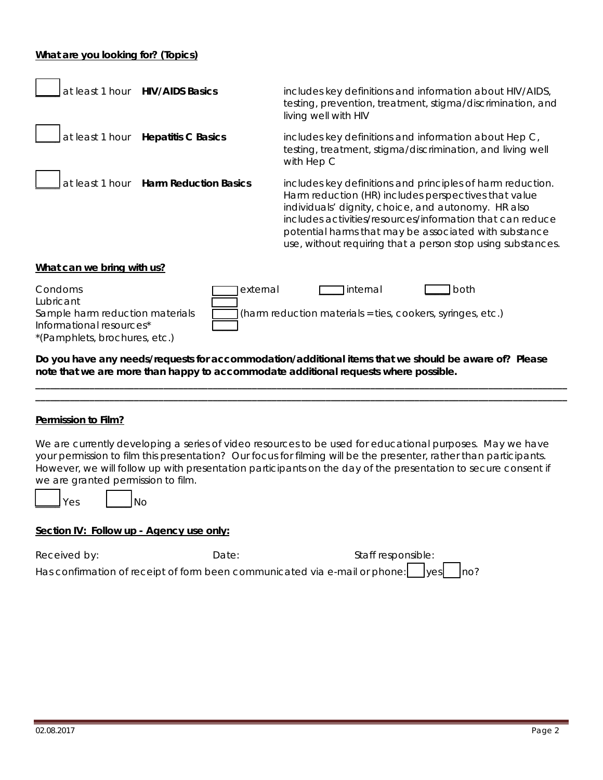#### **What are you looking for? (Topics)**

| at least 1 hour<br><b>HIV/AIDS Basics</b>                                                                                                                                                                                                                                                                                         | includes key definitions and information about HIV/AIDS,<br>testing, prevention, treatment, stigma/discrimination, and<br>living well with HIV                                                                                                                                                                                                                 |  |  |  |
|-----------------------------------------------------------------------------------------------------------------------------------------------------------------------------------------------------------------------------------------------------------------------------------------------------------------------------------|----------------------------------------------------------------------------------------------------------------------------------------------------------------------------------------------------------------------------------------------------------------------------------------------------------------------------------------------------------------|--|--|--|
| at least 1 hour<br><b>Hepatitis C Basics</b>                                                                                                                                                                                                                                                                                      | includes key definitions and information about Hep C,<br>testing, treatment, stigma/discrimination, and living well<br>with Hep C                                                                                                                                                                                                                              |  |  |  |
| <b>Harm Reduction Basics</b><br>at least 1 hour                                                                                                                                                                                                                                                                                   | includes key definitions and principles of harm reduction.<br>Harm reduction (HR) includes perspectives that value<br>individuals' dignity, choice, and autonomy. HR also<br>includes activities/resources/information that can reduce<br>potential harms that may be associated with substance<br>use, without requiring that a person stop using substances. |  |  |  |
| What can we bring with us?                                                                                                                                                                                                                                                                                                        |                                                                                                                                                                                                                                                                                                                                                                |  |  |  |
| Condoms<br><b>Internal</b><br>external<br>both<br>Lubricant<br>Sample harm reduction materials<br>(harm reduction materials = ties, cookers, syringes, etc.)<br>Informational resources*<br>*(Pamphlets, brochures, etc.)<br>Do you have any needs/requests for accommodation/additional items that we should be aware of? Please |                                                                                                                                                                                                                                                                                                                                                                |  |  |  |
| note that we are more than happy to accommodate additional requests where possible.                                                                                                                                                                                                                                               |                                                                                                                                                                                                                                                                                                                                                                |  |  |  |
|                                                                                                                                                                                                                                                                                                                                   |                                                                                                                                                                                                                                                                                                                                                                |  |  |  |
| Permission to Film?                                                                                                                                                                                                                                                                                                               |                                                                                                                                                                                                                                                                                                                                                                |  |  |  |
| we are granted permission to film.<br>Yes<br>No                                                                                                                                                                                                                                                                                   | We are currently developing a series of video resources to be used for educational purposes. May we have<br>your permission to film this presentation? Our focus for filming will be the presenter, rather than participants.<br>However, we will follow up with presentation participants on the day of the presentation to secure consent if                 |  |  |  |

### **Section IV: Follow up -** *Agency use only***:**

| Received by: | Date: | Staff responsible:                                                                               |
|--------------|-------|--------------------------------------------------------------------------------------------------|
|              |       | Has confirmation of receipt of form been communicated via e-mail or phone: $\Box$ yes $\Box$ no? |